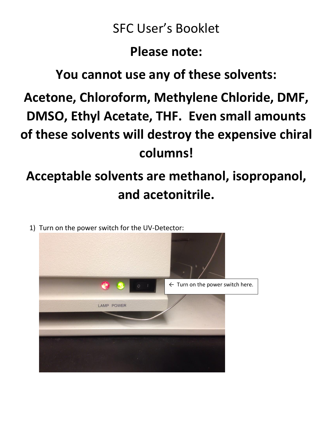## SFC User's Booklet

#### **Please note:**

## **You cannot use any of these solvents:**

**Acetone, Chloroform, Methylene Chloride, DMF, DMSO, Ethyl Acetate, THF. Even small amounts of these solvents will destroy the expensive chiral columns!**

# **Acceptable solvents are methanol, isopropanol, and acetonitrile.**

1) Turn on the power switch for the UV-Detector:

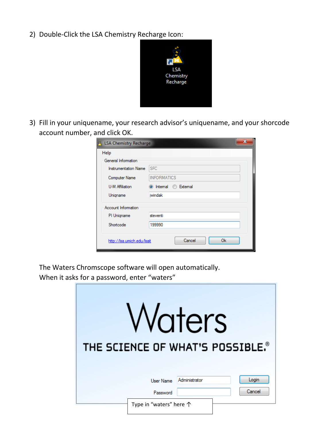2) Double-Click the LSA Chemistry Recharge Icon:



3) Fill in your uniquename, your research advisor's uniquename, and your shorcode account number, and click OK.

| <b>R</b> LSA Chemistry Recharge<br>Help | x                     |
|-----------------------------------------|-----------------------|
| General Information                     |                       |
| <b>Instrumentation Name</b>             | <b>SFC</b>            |
| <b>Computer Name</b>                    | <b>INFORMATICS</b>    |
| U-M Affiliation                         | O Internal © External |
| Unigname                                | jwindak               |
| Account Information                     |                       |
| PI Unigname                             | steventi              |
| Shortcode                               | 199990                |
| http://lsa.umich.edu/lsait              | Cancel<br>0k          |

The Waters Chromscope software will open automatically.

When it asks for a password, enter "waters"

|                         | Vaters        | THE SCIENCE OF WHAT'S POSSIBLE. <sup>®</sup> |
|-------------------------|---------------|----------------------------------------------|
| <b>User Name</b>        | Administrator | Login                                        |
| Password                |               | Cancel                                       |
| Type in "waters" here 个 |               |                                              |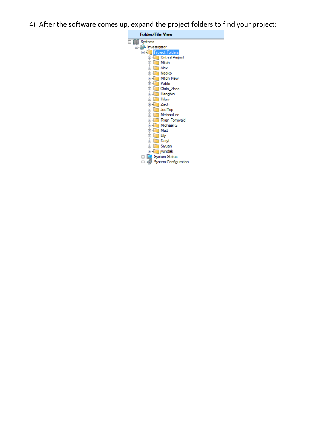4) After the software comes up, expand the project folders to find your project:

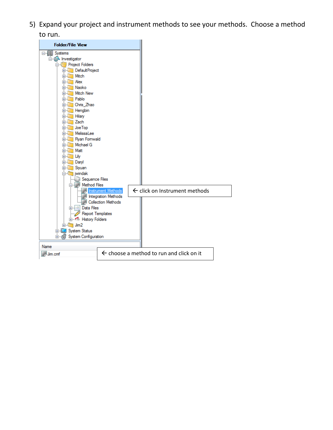5) Expand your project and instrument methods to see your methods. Choose a method to run.

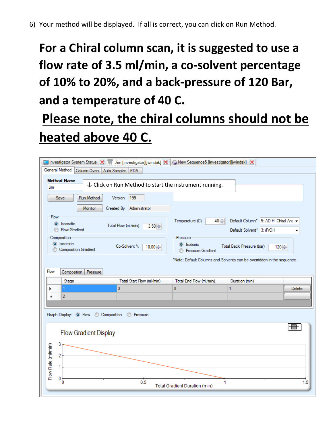# **For a Chiral column scan, it is suggested to use a flow rate of 3.5 ml/min, a co-solvent percentage of 10% to 20%, and a back-pressure of 120 Bar, and a temperature of 40 C.**

# **Please note, the chiral columns should not be heated above 40 C.**

|                                                                    | Investigator System Status X   I Jim [Investigator][jwindak] X   @ New Sequence5 [Investigator][jwindak] X |                                           |                                                                        |        |
|--------------------------------------------------------------------|------------------------------------------------------------------------------------------------------------|-------------------------------------------|------------------------------------------------------------------------|--------|
| General Method<br>Column Oven                                      | Auto Sampler<br>PDA                                                                                        |                                           |                                                                        |        |
| <b>Method Name</b><br>Jim<br>Run Method<br>Save                    | $\downarrow$ Click on Run Method to start the instrument running.<br>199<br>Version                        |                                           |                                                                        |        |
| Monitor                                                            | Administrator<br>Created By                                                                                |                                           |                                                                        |        |
| Flow<br>$\circ$<br><b>Isocratic</b><br><b>Flow Gradient</b>        | Total Flow (ml/min)<br>$3.50 \div$                                                                         | Temperature (C)<br>$40 \div$              | Default Column* 5: AD-H Chiral Ant -<br>Default Solvent* 3: iPrOH      |        |
| Composition<br>Isocratic<br>$\odot$<br><b>Composition Gradient</b> | Co-Solvent %<br>10.00 $\Leftrightarrow$                                                                    | Pressure<br>isobaric<br>Pressure Gradient | Total Back Pressure (bar)<br>120 ≑                                     |        |
|                                                                    |                                                                                                            |                                           | *Note: Default Columns and Solvents can be overridden in the sequence. |        |
| Flow<br>Pressure<br>Composition                                    |                                                                                                            |                                           |                                                                        |        |
| Stage                                                              | Total Start Flow (ml/min)                                                                                  | Total End Flow (ml/min)                   | Duration (min)                                                         |        |
| 1                                                                  | 3                                                                                                          | $\bf{0}$                                  | 1                                                                      | Delete |
| 2                                                                  |                                                                                                            |                                           |                                                                        |        |
| Graph Display: <sup>O</sup> Flow                                   | Composition<br><b>C</b> Pressure                                                                           |                                           |                                                                        |        |
| <b>Flow Gradient Display</b>                                       |                                                                                                            |                                           |                                                                        |        |
| 3<br>2                                                             |                                                                                                            |                                           |                                                                        |        |
| Flow Rate (ml/min)<br>1                                            |                                                                                                            |                                           |                                                                        |        |
| 0<br>0                                                             | 0.5                                                                                                        | 1<br><b>Total Gradient Duration (min)</b> |                                                                        | 1.5    |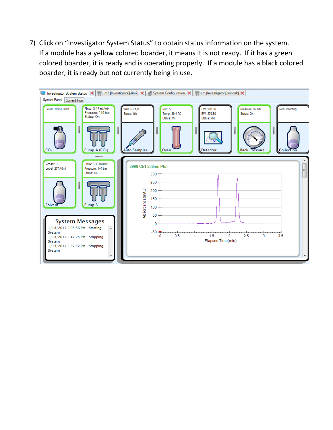7) Click on "Investigator System Status" to obtain status information on the system. If a module has a yellow colored boarder, it means it is not ready. If it has a green colored boarder, it is ready and is operating properly. If a module has a black colored boarder, it is ready but not currently being in use.

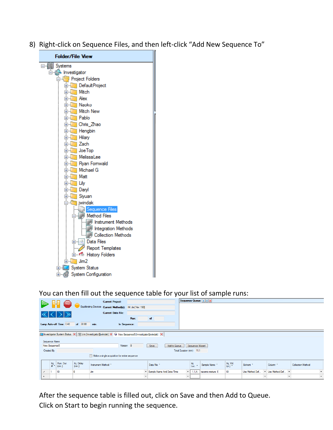8) Right-click on Sequence Files, and then left-click "Add New Sequence To"



You can then fill out the sequence table for your list of sample runs:

|                |               |                     |                          |                      |                                                                                                           |              |         |                           |              |                           |                 | Sequence Queue: A A |                     |                |               |                  |                          |                          |         |
|----------------|---------------|---------------------|--------------------------|----------------------|-----------------------------------------------------------------------------------------------------------|--------------|---------|---------------------------|--------------|---------------------------|-----------------|---------------------|---------------------|----------------|---------------|------------------|--------------------------|--------------------------|---------|
| Start          |               |                     | <b>Stop</b>              |                      | <b>Current Project:</b>                                                                                   |              |         |                           |              |                           |                 |                     |                     |                |               |                  |                          |                          |         |
|                |               |                     |                          |                      | Equilibrating Devices Current Method(s): IM: Jim[ Ver: 190]                                               |              |         |                           |              |                           |                 |                     |                     |                |               |                  |                          |                          |         |
|                |               |                     |                          |                      | <b>Current Data File:</b>                                                                                 |              |         |                           |              |                           |                 |                     |                     |                |               |                  |                          |                          |         |
|                |               |                     |                          |                      |                                                                                                           | Run:         |         | of                        |              |                           |                 |                     |                     |                |               |                  |                          |                          |         |
|                |               |                     | Lamp Auto-off Time: 0.48 | of 30.00             | min.                                                                                                      | In Sequence: |         |                           |              |                           |                 |                     |                     |                |               |                  |                          |                          |         |
|                |               |                     |                          |                      |                                                                                                           |              |         |                           |              |                           |                 |                     |                     |                |               |                  |                          |                          |         |
|                |               |                     |                          |                      | Investigator System Status X   TJ Jim [Investigator][jwindak] X + New Sequence5 [Investigator][jwindak] X |              |         |                           |              |                           |                 |                     |                     |                |               |                  |                          |                          |         |
|                |               |                     |                          |                      |                                                                                                           |              |         |                           |              |                           |                 |                     |                     |                |               |                  |                          |                          |         |
|                | Sequence Name |                     |                          |                      |                                                                                                           |              |         |                           |              |                           |                 |                     |                     |                |               |                  |                          |                          |         |
|                | New Sequence5 |                     |                          |                      |                                                                                                           | Version 0    |         | Save                      | Add to Queue |                           | Sequence Wizard |                     |                     |                |               |                  |                          |                          |         |
|                | Created By    |                     |                          |                      |                                                                                                           |              |         |                           |              | Total Duration (min) 11.1 |                 |                     |                     |                |               |                  |                          |                          |         |
|                |               |                     |                          |                      |                                                                                                           |              |         |                           |              |                           |                 |                     |                     |                |               |                  |                          |                          |         |
|                |               |                     |                          |                      | Make a single acquisition for entire sequence                                                             |              |         |                           |              |                           |                 |                     |                     |                |               |                  |                          |                          |         |
|                |               | $\frac{\ln j}{H}$ . | Run. Dur.<br>(min.)      | Inj. Delay<br>(min.) | Instrument Method *                                                                                       |              |         | Data File *               |              |                           | Inj.<br>Loc. +  | Sample Name *       | Inj. Vol.<br>(uL) * | Solvent *      |               | Column *         |                          | <b>Collection Method</b> |         |
| $\overline{ }$ |               |                     | 10                       |                      | Jim                                                                                                       |              |         | Sample Name And Date/Time |              | $\cdot$                   | 1,1,A           | racemic mixture 1   | 10                  | Use Method Def | $\mathbf{v}$  | Use Method Def * |                          |                          | $\star$ |
| $\star$        |               |                     |                          |                      |                                                                                                           |              | $\cdot$ |                           |              | $\pmb{\cdot}$             |                 |                     |                     |                | $\pmb{\cdot}$ |                  | $\overline{\phantom{a}}$ |                          | $\star$ |

After the sequence table is filled out, click on Save and then Add to Queue. Click on Start to begin running the sequence.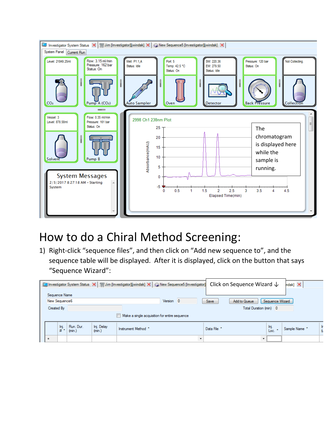

#### How to do a Chiral Method Screening:

1) Right-click "sequence files", and then click on "Add new sequence to", and the sequence table will be displayed. After it is displayed, click on the button that says "Sequence Wizard":

| Sequence Name |                    |                     |                      | Investigator System Status X   11 Jim [Investigator][jwindak] X   @ New Sequence5 [Investigator] |           |                      |             | Click on Sequence Wizard $\downarrow$ |                 | $ndak]$ $\mathbb{X}$ |  |
|---------------|--------------------|---------------------|----------------------|--------------------------------------------------------------------------------------------------|-----------|----------------------|-------------|---------------------------------------|-----------------|----------------------|--|
| New Sequence6 |                    |                     |                      |                                                                                                  | Version 0 |                      | Save        | Add to Queue                          | Sequence Wizard |                      |  |
| Created By    |                    |                     |                      |                                                                                                  |           |                      |             | Total Duration (min) 0                |                 |                      |  |
|               |                    |                     |                      | Make a single acquisition for entire sequence                                                    |           |                      |             |                                       |                 |                      |  |
|               | $\frac{\ln j}{\#}$ | Run, Dur.<br>(min.) | Inj. Delay<br>(min.) | Instrument Method *                                                                              |           |                      | Data File * |                                       | Inj.<br>Loc.    | Sample Name *        |  |
| $\ast$        |                    |                     |                      |                                                                                                  |           | $\ddot{\phantom{0}}$ |             |                                       |                 |                      |  |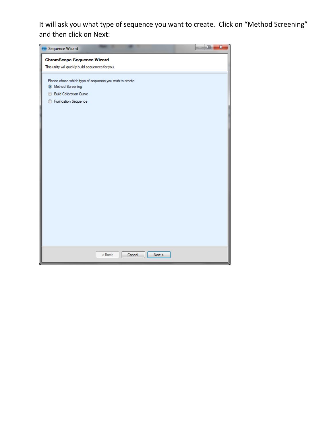It will ask you what type of sequence you want to create. Click on "Method Screening" and then click on Next:

| o<br><b>Co</b> Sequence Wizard                                                           | $\mathbf{x}$ |
|------------------------------------------------------------------------------------------|--------------|
| <b>ChromScope Sequence Wizard</b>                                                        |              |
| This utility will quickly build sequences for you.                                       |              |
|                                                                                          |              |
| Please chose which type of sequence you wish to create:<br><sup>O</sup> Method Screening |              |
| <b>Build Calibration Curve</b>                                                           |              |
| Purification Sequence                                                                    |              |
|                                                                                          |              |
|                                                                                          |              |
|                                                                                          |              |
|                                                                                          |              |
|                                                                                          |              |
|                                                                                          |              |
|                                                                                          |              |
|                                                                                          |              |
|                                                                                          |              |
|                                                                                          |              |
|                                                                                          |              |
|                                                                                          |              |
|                                                                                          |              |
|                                                                                          |              |
|                                                                                          |              |
|                                                                                          |              |
|                                                                                          |              |
| $Back$<br>Cancel<br>Next                                                                 |              |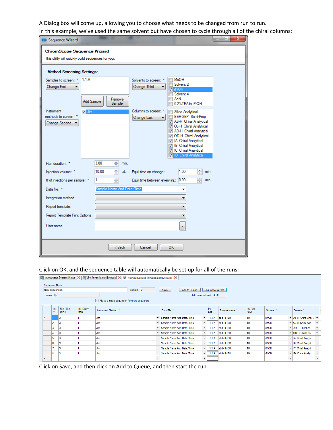A Dialog box will come up, allowing you to choose what needs to be changed from run to run. In this example, we've used the same solvent but have chosen to cycle through all of the chiral columns:

| <b>ChromScope Sequence Wizard</b>                                                                 |  |
|---------------------------------------------------------------------------------------------------|--|
| This utility will quickly build sequences for you.                                                |  |
| <b>Method Screening Settings:</b>                                                                 |  |
| MeOH<br>1.1.A<br>Samples to screen: *<br>Solvents to screen: *                                    |  |
| Solvent 2<br><b>Change First</b><br>Change Third<br><b>M</b> iPrOH                                |  |
| Solvent 4                                                                                         |  |
| AcN<br>Remove<br>Add Sample<br><b>Sample</b><br>0.2%TEA in iPrOH                                  |  |
| Columns to screen: *<br>Instrument<br>$\sqrt{2}$ Jim<br>Silica Analytical                         |  |
| methods to screen:<br>BEH-2EP Semi-Prep<br>Change Last<br>AS-H Chiral Analytical                  |  |
| Change Second<br>V OJ-H Chiral Analytical                                                         |  |
| AD-H Chiral Analytical<br>OD-H Chiral Analytical                                                  |  |
| A Chiral Analytical                                                                               |  |
| 1B Chiral Analytical<br>IC Chiral Analytical<br>$\overline{\mathcal{F}}$                          |  |
| <b>ID</b> Chiral Analytical                                                                       |  |
| 3.00<br>÷<br>Run duration: *<br>min.                                                              |  |
| $\div$<br>1.00<br>÷<br>10.00<br><b>uL</b><br>Injection volume: *<br>Equil time on change:<br>min. |  |
| ÷<br>÷<br> 0.00 <br># of injections per sample: *<br>1<br>Equil time between every inj.:<br>min.  |  |
| Sample Name And Date/Time<br>Data file: *                                                         |  |
| Integration method:                                                                               |  |
| Report template:                                                                                  |  |
| Report Template Print Options:                                                                    |  |
| User notes:<br>۰                                                                                  |  |
|                                                                                                   |  |
| < Back<br>OK.<br>Cancel                                                                           |  |

#### Click on OK, and the sequence table will automatically be set up for all of the runs:

|   |                           |                     |                      | [3] Investigator System Status X   1 10 Jim Ilnvestigator][jwindak] X + New Sequence6 [Investigator][jwindak] X |         |                                                         |                 |               |                     |                          |                                                            |
|---|---------------------------|---------------------|----------------------|-----------------------------------------------------------------------------------------------------------------|---------|---------------------------------------------------------|-----------------|---------------|---------------------|--------------------------|------------------------------------------------------------|
|   | Sequence Name             |                     |                      |                                                                                                                 |         |                                                         |                 |               |                     |                          |                                                            |
|   | New Sequence6             |                     |                      | Version 0                                                                                                       |         | Add to Queue<br>Save                                    | Sequence Wizard |               |                     |                          |                                                            |
|   | Created By                |                     |                      |                                                                                                                 |         | Total Duration (min) 40.8                               |                 |               |                     |                          |                                                            |
|   |                           |                     |                      | Make a single acquisition for entire sequence                                                                   |         |                                                         |                 |               |                     |                          |                                                            |
|   | $\frac{\text{Inj}}{\#}$ . | Run. Dur.<br>(min.) | Inj. Delay<br>(min.) | Instrument Method *                                                                                             |         | Data File *                                             | Inj.<br>Loc. *  | Sample Name * | Inj. Vol.<br>(uL) * | Solvent *                | Column *                                                   |
|   |                           | 3                   |                      | Jim                                                                                                             |         | Sample Name And Date/Time                               | 1,1.A           | sbd-III-198   | 10                  | <b>iPrOH</b>             | * AS-H Chiral Ana                                          |
|   | 2                         | 3                   |                      | Jim                                                                                                             |         | Sample Name And Date/Time<br>$\overline{\phantom{a}}$   | 1,1.A           | sbd-III-198   | 10                  | <b>iPrOH</b>             | v OJ-H Chiral Ana                                          |
|   | 3                         | 3                   |                      | Jim                                                                                                             |         | Sample Name And Date/Time<br>$\bullet$                  | 1,1,A           | sbd-III-198   | 10                  | <b>iPrOH</b>             | $\blacktriangleright$ AD-H Chiral An $\blacktriangleright$ |
|   | 4                         | 3                   |                      | Jim                                                                                                             |         | Sample Name And Date/Time                               | 1,1,A           | sbd-III-198   | $10-10$             | <b>iPrOH</b>             | v OD-H Chiral An                                           |
|   | 5                         | 3                   |                      | Jim                                                                                                             |         | Sample Name And Date/Time<br>$\bullet$                  | 1,1.A           | sbd-III-198   | 10                  | <b>iPrOH</b>             | - IA Chiral Analyti                                        |
|   | 6                         | 3                   |                      | Jim                                                                                                             |         | - Sample Name And Date/Time<br>$\overline{\phantom{a}}$ | 1,1.A           | sbd-III-198   | 10 <sub>10</sub>    | <b>iPrOH</b>             | v B Chiral Analyti                                         |
|   |                           | 3                   |                      | Jim                                                                                                             |         | Sample Name And Date/Time<br>$\cdot$                    | 1,1.A           | sbd-III-198   | 10 <sup>°</sup>     | <b>iPrOH</b>             | v IC Chiral Analyti                                        |
|   | 8                         | 3                   |                      | Jim                                                                                                             |         | Sample Name And Date/Time                               | 1,1.A           | sbd-III-198   | 10 <sub>10</sub>    | <b>iPrOH</b>             | v   ID Chiral Analyti v                                    |
| ٠ |                           |                     |                      |                                                                                                                 | $\cdot$ | $\bullet$                                               |                 |               |                     | $\overline{\phantom{a}}$ |                                                            |

Click on Save, and then click on Add to Queue, and then start the run.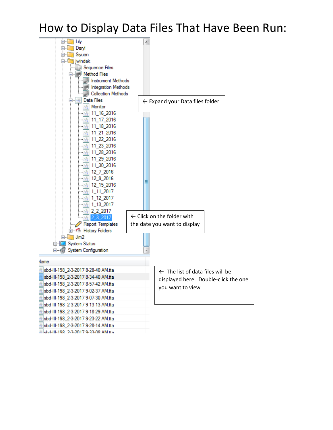#### How to Display Data Files That Have Been Run:



Mehd-III-198 2-3-2017 9-33-08 AM tha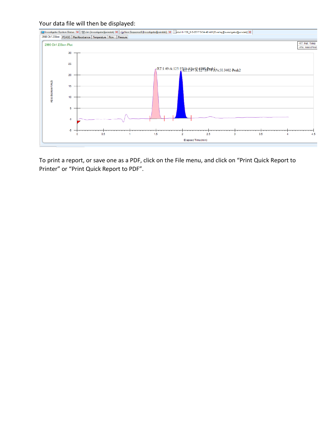

To print a report, or save one as a PDF, click on the File menu, and click on "Print Quick Report to Printer" or "Print Quick Report to PDF".